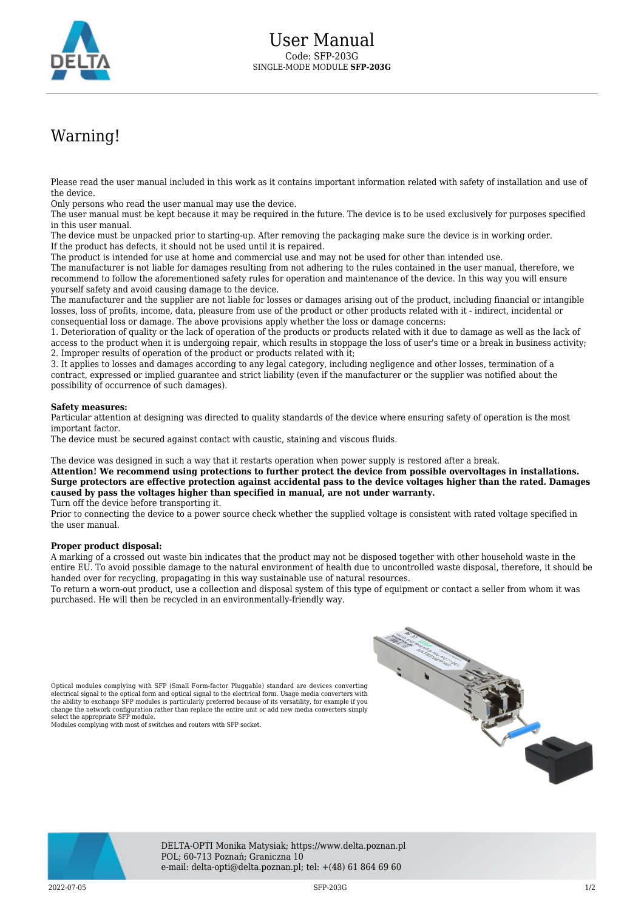

## Warning!

Please read the user manual included in this work as it contains important information related with safety of installation and use of the device.

Only persons who read the user manual may use the device.

The user manual must be kept because it may be required in the future. The device is to be used exclusively for purposes specified in this user manual.

The device must be unpacked prior to starting-up. After removing the packaging make sure the device is in working order. If the product has defects, it should not be used until it is repaired.

The product is intended for use at home and commercial use and may not be used for other than intended use.

The manufacturer is not liable for damages resulting from not adhering to the rules contained in the user manual, therefore, we recommend to follow the aforementioned safety rules for operation and maintenance of the device. In this way you will ensure yourself safety and avoid causing damage to the device.

The manufacturer and the supplier are not liable for losses or damages arising out of the product, including financial or intangible losses, loss of profits, income, data, pleasure from use of the product or other products related with it - indirect, incidental or consequential loss or damage. The above provisions apply whether the loss or damage concerns:

1. Deterioration of quality or the lack of operation of the products or products related with it due to damage as well as the lack of access to the product when it is undergoing repair, which results in stoppage the loss of user's time or a break in business activity; 2. Improper results of operation of the product or products related with it;

3. It applies to losses and damages according to any legal category, including negligence and other losses, termination of a contract, expressed or implied guarantee and strict liability (even if the manufacturer or the supplier was notified about the possibility of occurrence of such damages).

## **Safety measures:**

Particular attention at designing was directed to quality standards of the device where ensuring safety of operation is the most important factor.

The device must be secured against contact with caustic, staining and viscous fluids.

The device was designed in such a way that it restarts operation when power supply is restored after a break.

**Attention! We recommend using protections to further protect the device from possible overvoltages in installations. Surge protectors are effective protection against accidental pass to the device voltages higher than the rated. Damages caused by pass the voltages higher than specified in manual, are not under warranty.**

Turn off the device before transporting it.

Prior to connecting the device to a power source check whether the supplied voltage is consistent with rated voltage specified in the user manual.

## **Proper product disposal:**

A marking of a crossed out waste bin indicates that the product may not be disposed together with other household waste in the entire EU. To avoid possible damage to the natural environment of health due to uncontrolled waste disposal, therefore, it should be handed over for recycling, propagating in this way sustainable use of natural resources.

To return a worn-out product, use a collection and disposal system of this type of equipment or contact a seller from whom it was purchased. He will then be recycled in an environmentally-friendly way.

Optical modules complying with SFP (Small Form-factor Pluggable) standard are devices converting electrical signal to the optical form and optical signal to the electrical form. Usage media converters with the ability to exchange SFP modules is particularly preferred because of its versatility, for example if you change the network configuration rather than replace the entire unit or add new media converters simply select the appropriate SFP module. Modules complying with most of switches and routers with SFP socket.





DELTA-OPTI Monika Matysiak; https://www.delta.poznan.pl POL; 60-713 Poznań; Graniczna 10 e-mail: delta-opti@delta.poznan.pl; tel: +(48) 61 864 69 60